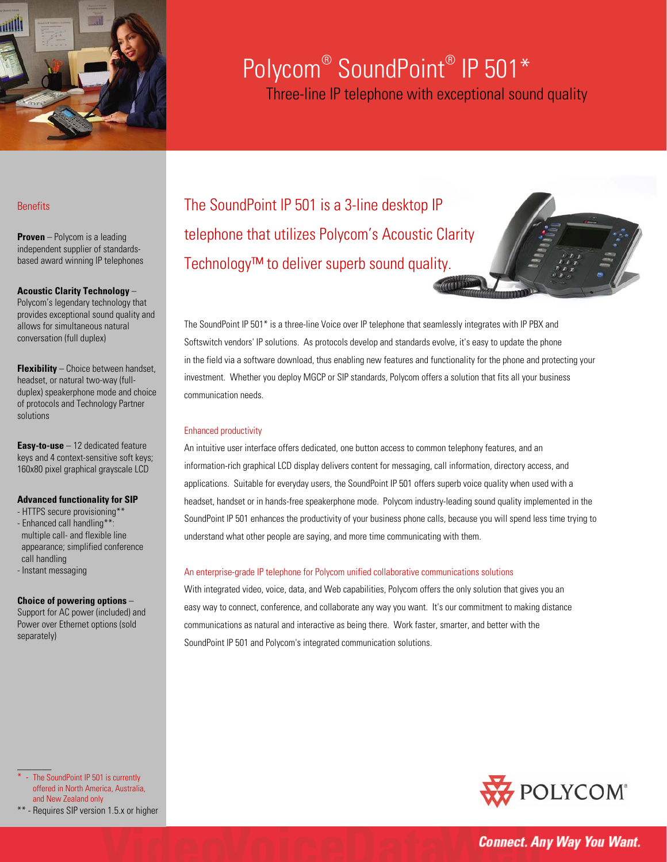

# Polycom® SoundPoint® IP 501\* Three-line IP telephone with exceptional sound quality

# **Benefits**

**Proven** – Polycom is a leading independent supplier of standardsbased award winning IP telephones

# **Acoustic Clarity Technology** –

Polycom's legendary technology that provides exceptional sound quality and allows for simultaneous natural conversation (full duplex)

**Flexibility** – Choice between handset, headset, or natural two-way (fullduplex) speakerphone mode and choice of protocols and Technology Partner solutions

**Easy-to-use** – 12 dedicated feature keys and 4 context-sensitive soft keys; 160x80 pixel graphical grayscale LCD

# **Advanced functionality for SIP**

- HTTPS secure provisioning\*\* - Enhanced call handling\*\*: multiple call- and flexible line appearance; simplified conference call handling
- Instant messaging

#### **Choice of powering options** –

Support for AC power (included) and Power over Ethernet options (sold separately)

The SoundPoint IP 501 is a 3-line desktop IP telephone that utilizes Polycom's Acoustic Clarity Technology™ to deliver superb sound quality.

The SoundPoint IP 501\* is a three-line Voice over IP telephone that seamlessly integrates with IP PBX and Softswitch vendors' IP solutions. As protocols develop and standards evolve, it's easy to update the phone in the field via a software download, thus enabling new features and functionality for the phone and protecting your investment. Whether you deploy MGCP or SIP standards, Polycom offers a solution that fits all your business communication needs.

#### Enhanced productivity

An intuitive user interface offers dedicated, one button access to common telephony features, and an information-rich graphical LCD display delivers content for messaging, call information, directory access, and applications. Suitable for everyday users, the SoundPoint IP 501 offers superb voice quality when used with a headset, handset or in hands-free speakerphone mode. Polycom industry-leading sound quality implemented in the SoundPoint IP 501 enhances the productivity of your business phone calls, because you will spend less time trying to understand what other people are saying, and more time communicating with them.

### An enterprise-grade IP telephone for Polycom unified collaborative communications solutions

With integrated video, voice, data, and Web capabilities, Polycom offers the only solution that gives you an easy way to connect, conference, and collaborate any way you want. It's our commitment to making distance communications as natural and interactive as being there. Work faster, smarter, and better with the SoundPoint IP 501 and Polycom's integrated communication solutions.

- The SoundPoint IP 501 is currently offered in North America, Australia, and New Zealand only

 $\overline{\phantom{a}}$ 





**Connect. Any Way You Want.**